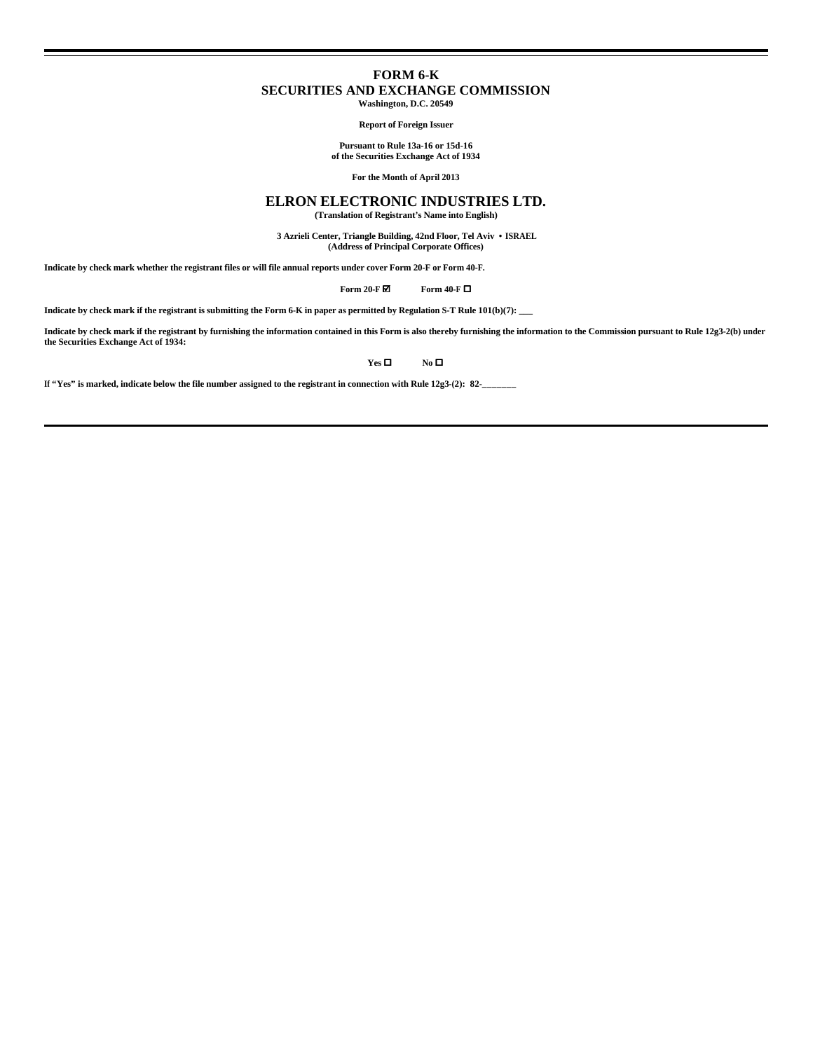## **FORM 6-K SECURITIES AND EXCHANGE COMMISSION Washington, D.C. 20549**

**Report of Foreign Issuer**

**Pursuant to Rule 13a-16 or 15d-16 of the Securities Exchange Act of 1934**

**For the Month of April 2013**

# **ELRON ELECTRONIC INDUSTRIES LTD.**

**(Translation of Registrant's Name into English)**

 **3 Azrieli Center, Triangle Building, 42nd Floor, Tel Aviv • ISRAEL (Address of Principal Corporate Offices)**

**Indicate by check mark whether the registrant files or will file annual reports under cover Form 20-F or Form 40-F.**

**Form 20-F Ø Form 40-F** □

**Indicate by check mark if the registrant is submitting the Form 6-K in paper as permitted by Regulation S-T Rule 101(b)(7): \_\_\_**

**Indicate by check mark if the registrant by furnishing the information contained in this Form is also thereby furnishing the information to the Commission pursuant to Rule 12g3-2(b) under the Securities Exchange Act of 1934:**

**Yes □ No □** 

**If "Yes" is marked, indicate below the file number assigned to the registrant in connection with Rule 12g3-(2): 82-\_\_\_\_\_\_\_**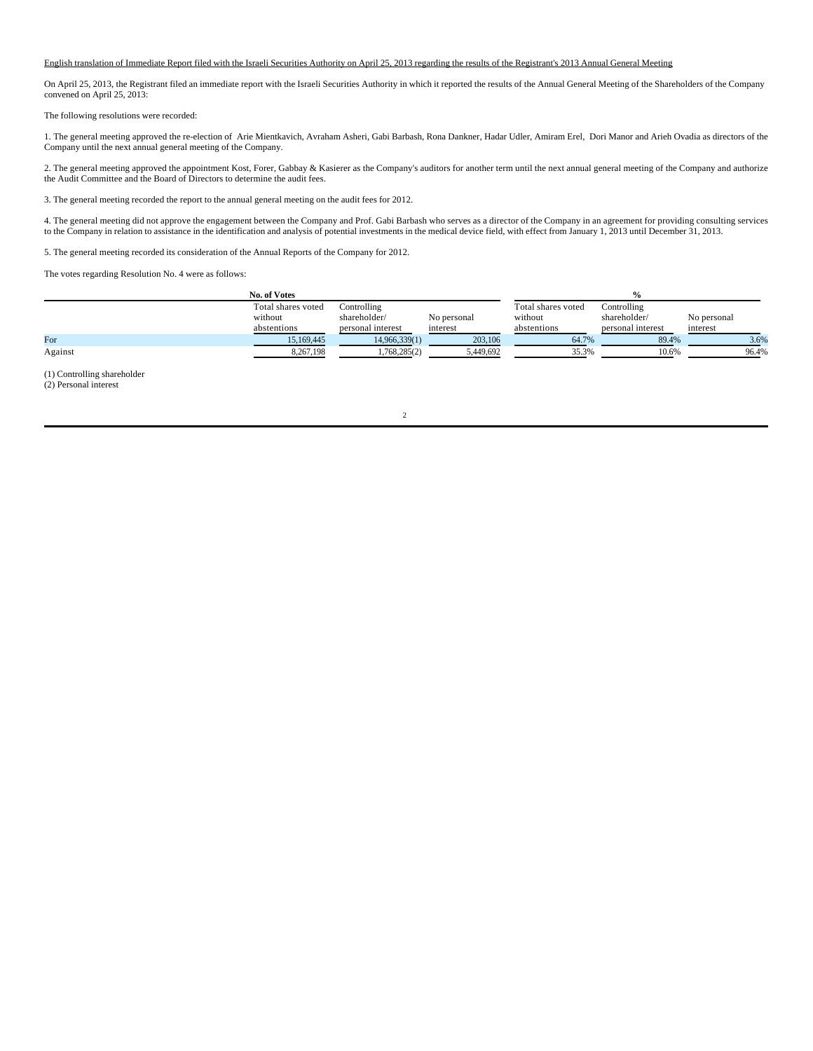#### English translation of Immediate Report filed with the Israeli Securities Authority on April 25, 2013 regarding the results of the Registrant's 2013 Annual General Meeting

On April 25, 2013, the Registrant filed an immediate report with the Israeli Securities Authority in which it reported the results of the Annual General Meeting of the Shareholders of the Company convened on April 25, 2013:

The following resolutions were recorded:

1. The general meeting approved the re-election of Arie Mientkavich, Avraham Asheri, Gabi Barbash, Rona Dankner, Hadar Udler, Amiram Erel, Dori Manor and Arieh Ovadia as directors of the Company until the next annual general meeting of the Company.

2. The general meeting approved the appointment Kost, Forer, Gabbay & Kasierer as the Company's auditors for another term until the next annual general meeting of the Company and authorize the Audit Committee and the Board of Directors to determine the audit fees.

3. The general meeting recorded the report to the annual general meeting on the audit fees for 2012.

4. The general meeting did not approve the engagement between the Company and Prof. Gabi Barbash who serves as a director of the Company in an agreement for providing consulting services to the Company in relation to assistance in the identification and analysis of potential investments in the medical device field, with effect from January 1, 2013 until December 31, 2013.

5. The general meeting recorded its consideration of the Annual Reports of the Company for 2012.

The votes regarding Resolution No. 4 were as follows:

|         | No. of Votes       |                   |             |                    |                   |             |  |
|---------|--------------------|-------------------|-------------|--------------------|-------------------|-------------|--|
|         | Total shares voted | Controlling       |             | Total shares voted | Controlling       |             |  |
|         | without            | shareholder/      | No personal | without            | shareholder/      | No personal |  |
|         | abstentions        | personal interest | interest    | abstentions        | personal interest | interest    |  |
| For     | 15.169.445         | 14,966,339(1)     | 203,106     | 64.7%              | 89.4%             | 3.6%        |  |
| Against | 8,267,198          | 1,768,285(2)      | 5,449,692   | 35.3%              | 10.6%             | 96.4%       |  |

(1) Controlling shareholder

(2) Personal interest

2